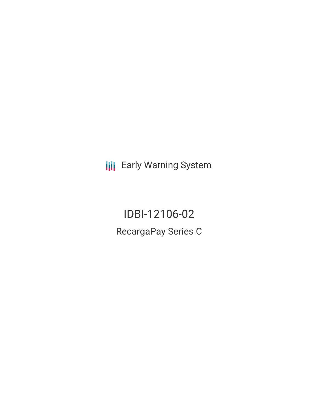**III** Early Warning System

IDBI-12106-02 RecargaPay Series C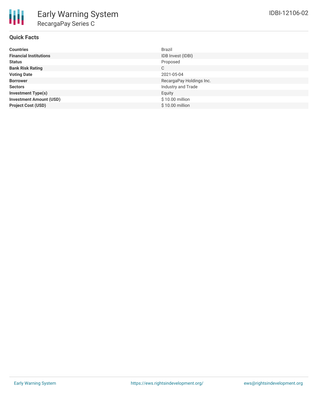

#### **Quick Facts**

| <b>Countries</b>               | Brazil                   |
|--------------------------------|--------------------------|
| <b>Financial Institutions</b>  | IDB Invest (IDBI)        |
| <b>Status</b>                  | Proposed                 |
| <b>Bank Risk Rating</b>        | C                        |
| <b>Voting Date</b>             | 2021-05-04               |
| <b>Borrower</b>                | RecargaPay Holdings Inc. |
| <b>Sectors</b>                 | Industry and Trade       |
| <b>Investment Type(s)</b>      | Equity                   |
| <b>Investment Amount (USD)</b> | \$10.00 million          |
| <b>Project Cost (USD)</b>      | \$10.00 million          |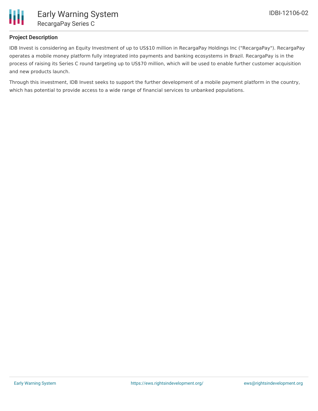

# **Project Description**

IDB Invest is considering an Equity Investment of up to US\$10 million in RecargaPay Holdings Inc ("RecargaPay"). RecargaPay operates a mobile money platform fully integrated into payments and banking ecosystems in Brazil. RecargaPay is in the process of raising its Series C round targeting up to US\$70 million, which will be used to enable further customer acquisition and new products launch.

Through this investment, IDB Invest seeks to support the further development of a mobile payment platform in the country, which has potential to provide access to a wide range of financial services to unbanked populations.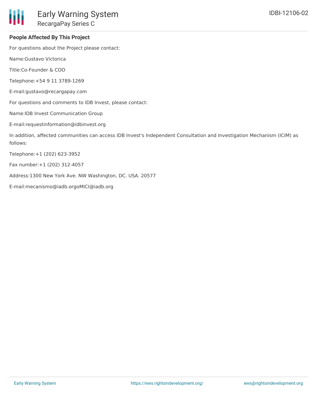### **People Affected By This Project**

For questions about the Project please contact:

Name:Gustavo Victorica

Title:Co-Founder & COO

Telephone:+54 9 11 3789-1269

E-mail:gustavo@recargapay.com

For questions and comments to IDB Invest, please contact:

Name:IDB Invest Communication Group

E-mail:requestinformation@idbinvest.org

In addition, affected communities can access IDB Invest's Independent Consultation and Investigation Mechanism (ICIM) as follows:

Telephone:+1 (202) 623-3952

Fax number:+1 (202) 312-4057

Address:1300 New York Ave. NW Washington, DC. USA. 20577

E-mail:mecanismo@iadb.orgoMICI@iadb.org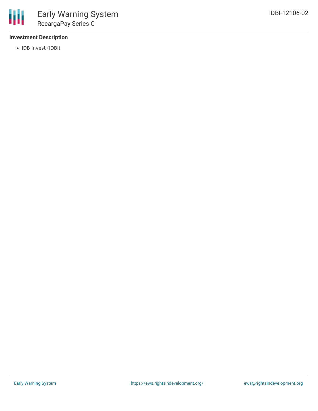# **Investment Description**

• IDB Invest (IDBI)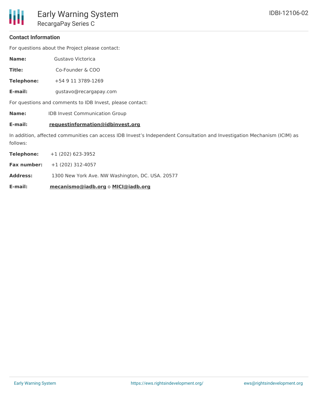#### **Contact Information**

For questions about the Project please contact:

**Name:** Gustavo Victorica

**Title:** Co-Founder & COO

**Telephone:** +54 9 11 3789-1269

**E-mail:** gustavo@recargapay.com

For questions and comments to IDB Invest, please contact:

**Name:** IDB Invest Communication Group

#### **E-mail: requestinformation@idbinvest.org**

In addition, affected communities can access IDB Invest's Independent Consultation and Investigation Mechanism (ICIM) as follows:

| E-mail:            | mecanismo@iadb.org o MICI@iadb.org               |
|--------------------|--------------------------------------------------|
| <b>Address:</b>    | 1300 New York Ave. NW Washington, DC. USA. 20577 |
| <b>Fax number:</b> | $+1(202)$ 312-4057                               |
| Telephone:         | $+1$ (202) 623-3952                              |